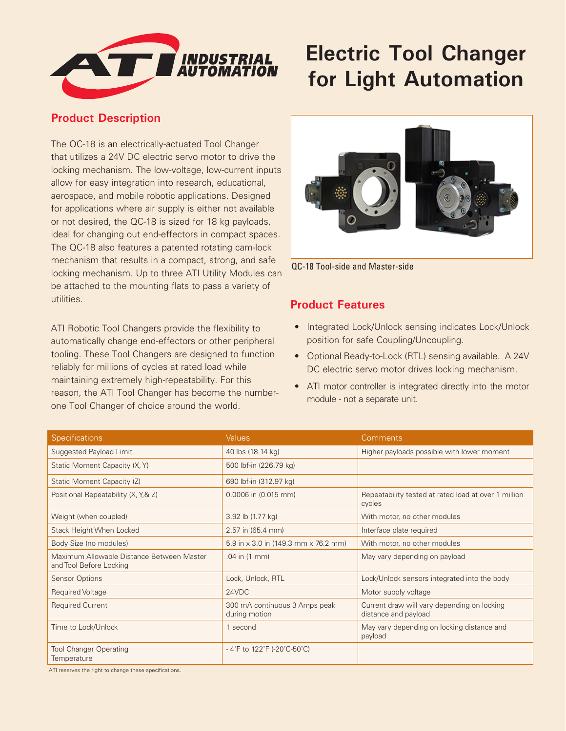

## **Electric Tool Changer for Light Automation**

## **Product Description**

The QC-18 is an electrically-actuated Tool Changer that utilizes a 24V DC electric servo motor to drive the locking mechanism. The low-voltage, low-current inputs allow for easy integration into research, educational, aerospace, and mobile robotic applications. Designed for applications where air supply is either not available or not desired, the QC-18 is sized for 18 kg payloads, ideal for changing out end-effectors in compact spaces. The QC-18 also features a patented rotating cam-lock mechanism that results in a compact, strong, and safe locking mechanism. Up to three ATI Utility Modules can be attached to the mounting flats to pass a variety of utilities.

ATI Robotic Tool Changers provide the flexibility to automatically change end-effectors or other peripheral tooling. These Tool Changers are designed to function reliably for millions of cycles at rated load while maintaining extremely high-repeatability. For this reason, the ATI Tool Changer has become the numberone Tool Changer of choice around the world.



QC-18 Tool-side and Master-side

## **Product Features**

- Integrated Lock/Unlock sensing indicates Lock/Unlock position for safe Coupling/Uncoupling.
- Optional Ready-to-Lock (RTL) sensing available. A 24V DC electric servo motor drives locking mechanism.
- ATI motor controller is integrated directly into the motor module - not a separate unit.

| <b>Specifications</b>                                                | <b>Values</b>                                  | Comments                                                            |
|----------------------------------------------------------------------|------------------------------------------------|---------------------------------------------------------------------|
| Suggested Payload Limit                                              | 40 lbs (18.14 kg)                              | Higher payloads possible with lower moment                          |
| Static Moment Capacity (X, Y)                                        | 500 lbf-in (226.79 kg)                         |                                                                     |
| Static Moment Capacity (Z)                                           | 690 lbf-in (312.97 kg)                         |                                                                     |
| Positional Repeatability (X, Y, & Z)                                 | 0.0006 in (0.015 mm)                           | Repeatability tested at rated load at over 1 million<br>cycles      |
| Weight (when coupled)                                                | 3.92 lb (1.77 kg)                              | With motor, no other modules                                        |
| Stack Height When Locked                                             | 2.57 in (65.4 mm)                              | Interface plate required                                            |
| Body Size (no modules)                                               | 5.9 in x 3.0 in (149.3 mm x 76.2 mm)           | With motor, no other modules                                        |
| Maximum Allowable Distance Between Master<br>and Tool Before Locking | .04 in (1 mm)                                  | May vary depending on payload                                       |
| <b>Sensor Options</b>                                                | Lock, Unlock, RTL                              | Lock/Unlock sensors integrated into the body                        |
| Required Voltage                                                     | 24VDC                                          | Motor supply voltage                                                |
| <b>Required Current</b>                                              | 300 mA continuous 3 Amps peak<br>during motion | Current draw will vary depending on locking<br>distance and payload |
| Time to Lock/Unlock                                                  | 1 second                                       | May vary depending on locking distance and<br>payload               |
| <b>Tool Changer Operating</b><br>Temperature                         | -4°F to $122$ °F (-20°C-50°C)                  |                                                                     |

ATI reserves the right to change these specifications.